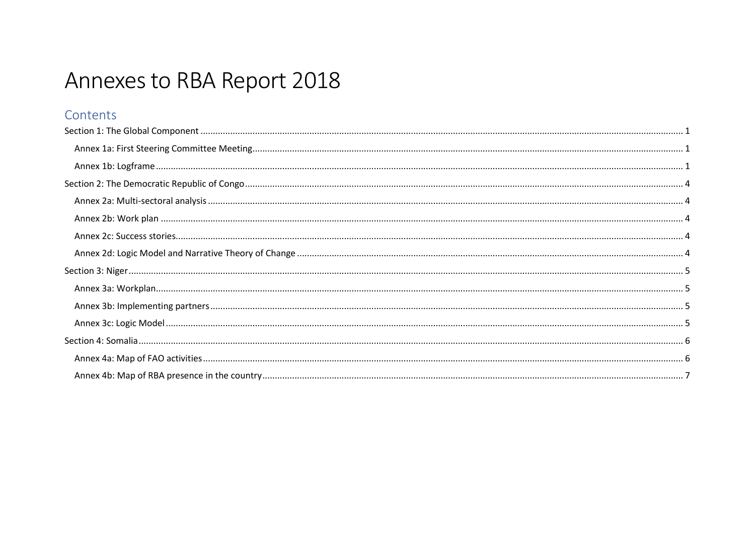# Annexes to RBA Report 2018

### Contents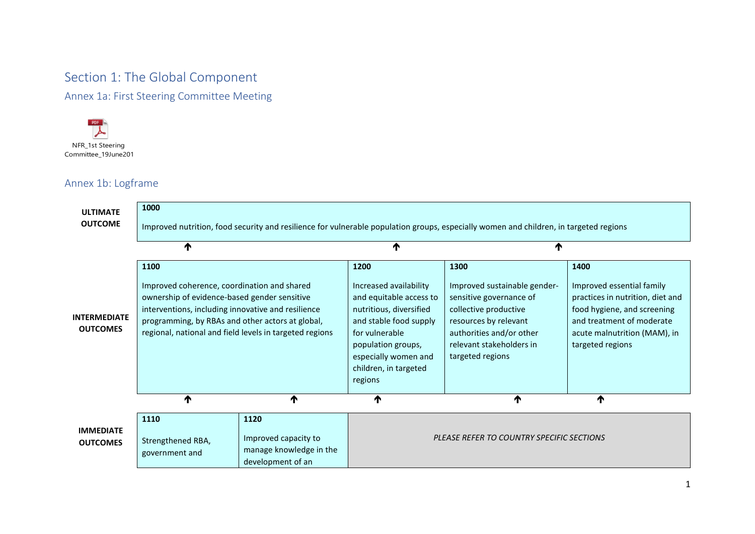# <span id="page-1-0"></span>Section 1: The Global Component

<span id="page-1-1"></span>Annex 1a: First Steering Committee Meeting



### <span id="page-1-2"></span>Annex 1b: Logframe

| <b>ULTIMATE</b><br><b>OUTCOME</b>      | 1000                                                                                                                                                                                                                                                                     |                                                                              |                                                                                                                                                                                                                    | Improved nutrition, food security and resilience for vulnerable population groups, especially women and children, in targeted regions                                                         |                                                                                                                                                                                       |
|----------------------------------------|--------------------------------------------------------------------------------------------------------------------------------------------------------------------------------------------------------------------------------------------------------------------------|------------------------------------------------------------------------------|--------------------------------------------------------------------------------------------------------------------------------------------------------------------------------------------------------------------|-----------------------------------------------------------------------------------------------------------------------------------------------------------------------------------------------|---------------------------------------------------------------------------------------------------------------------------------------------------------------------------------------|
|                                        | ₼                                                                                                                                                                                                                                                                        |                                                                              | ₼                                                                                                                                                                                                                  | ₼                                                                                                                                                                                             |                                                                                                                                                                                       |
| <b>INTERMEDIATE</b><br><b>OUTCOMES</b> | 1100<br>Improved coherence, coordination and shared<br>ownership of evidence-based gender sensitive<br>interventions, including innovative and resilience<br>programming, by RBAs and other actors at global,<br>regional, national and field levels in targeted regions |                                                                              | 1200<br>Increased availability<br>and equitable access to<br>nutritious, diversified<br>and stable food supply<br>for vulnerable<br>population groups,<br>especially women and<br>children, in targeted<br>regions | 1300<br>Improved sustainable gender-<br>sensitive governance of<br>collective productive<br>resources by relevant<br>authorities and/or other<br>relevant stakeholders in<br>targeted regions | 1400<br>Improved essential family<br>practices in nutrition, diet and<br>food hygiene, and screening<br>and treatment of moderate<br>acute malnutrition (MAM), in<br>targeted regions |
|                                        | ₼                                                                                                                                                                                                                                                                        | ↑                                                                            | ↑                                                                                                                                                                                                                  | ↑                                                                                                                                                                                             | ↑                                                                                                                                                                                     |
| <b>IMMEDIATE</b><br><b>OUTCOMES</b>    | 1110<br>Strengthened RBA,<br>government and                                                                                                                                                                                                                              | 1120<br>Improved capacity to<br>manage knowledge in the<br>development of an |                                                                                                                                                                                                                    | PLEASE REFER TO COUNTRY SPECIFIC SECTIONS                                                                                                                                                     |                                                                                                                                                                                       |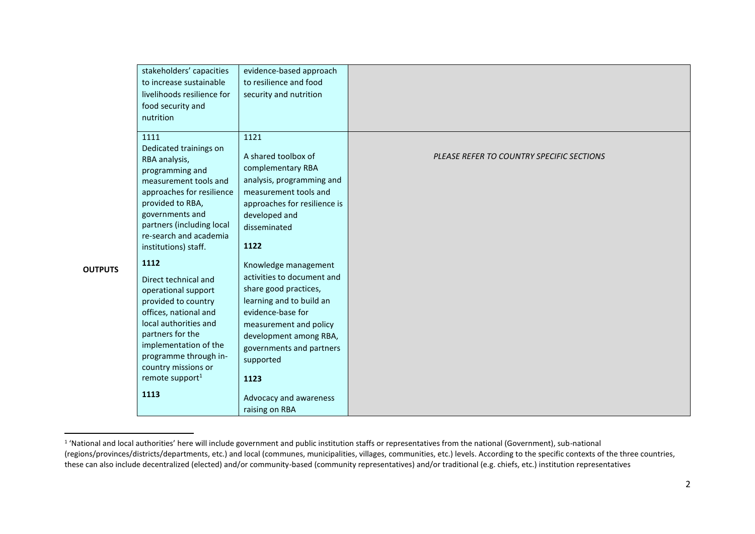|                | stakeholders' capacities<br>to increase sustainable<br>livelihoods resilience for<br>food security and<br>nutrition                                                                                                                                      | evidence-based approach<br>to resilience and food<br>security and nutrition                                                                                                                                                       |                                           |
|----------------|----------------------------------------------------------------------------------------------------------------------------------------------------------------------------------------------------------------------------------------------------------|-----------------------------------------------------------------------------------------------------------------------------------------------------------------------------------------------------------------------------------|-------------------------------------------|
|                | 1111<br>Dedicated trainings on<br>RBA analysis,<br>programming and<br>measurement tools and<br>approaches for resilience<br>provided to RBA,<br>governments and<br>partners (including local<br>re-search and academia<br>institutions) staff.           | 1121<br>A shared toolbox of<br>complementary RBA<br>analysis, programming and<br>measurement tools and<br>approaches for resilience is<br>developed and<br>disseminated<br>1122                                                   | PLEASE REFER TO COUNTRY SPECIFIC SECTIONS |
| <b>OUTPUTS</b> | 1112<br>Direct technical and<br>operational support<br>provided to country<br>offices, national and<br>local authorities and<br>partners for the<br>implementation of the<br>programme through in-<br>country missions or<br>remote support <sup>1</sup> | Knowledge management<br>activities to document and<br>share good practices,<br>learning and to build an<br>evidence-base for<br>measurement and policy<br>development among RBA,<br>governments and partners<br>supported<br>1123 |                                           |
|                | 1113                                                                                                                                                                                                                                                     | Advocacy and awareness<br>raising on RBA                                                                                                                                                                                          |                                           |

<sup>&</sup>lt;sup>1</sup> 'National and local authorities' here will include government and public institution staffs or representatives from the national (Government), sub-national (regions/provinces/districts/departments, etc.) and local (communes, municipalities, villages, communities, etc.) levels. According to the specific contexts of the three countries, these can also include decentralized (elected) and/or community-based (community representatives) and/or traditional (e.g. chiefs, etc.) institution representatives

 $\overline{a}$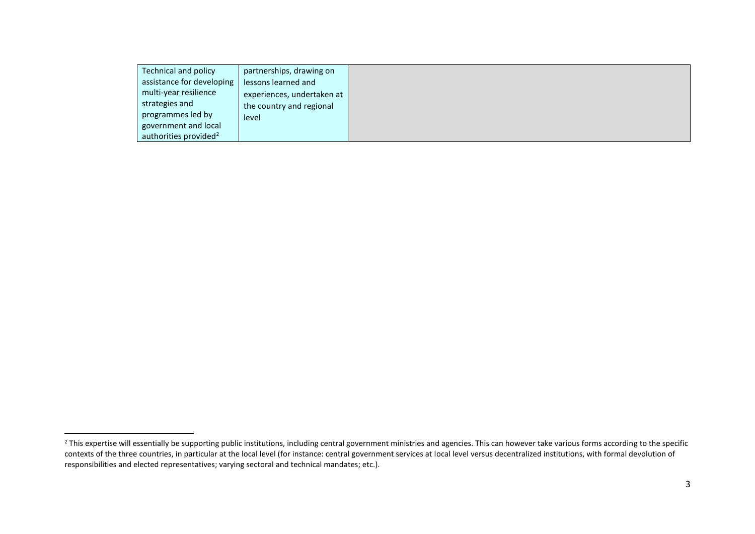| Technical and policy              | partnerships, drawing on   |
|-----------------------------------|----------------------------|
| assistance for developing         | lessons learned and        |
| multi-year resilience             | experiences, undertaken at |
| strategies and                    | the country and regional   |
| programmes led by                 | level                      |
| government and local              |                            |
| authorities provided <sup>2</sup> |                            |

 $\overline{a}$ 

<sup>&</sup>lt;sup>2</sup> This expertise will essentially be supporting public institutions, including central government ministries and agencies. This can however take various forms according to the specific contexts of the three countries, in particular at the local level (for instance: central government services at local level versus decentralized institutions, with formal devolution of responsibilities and elected representatives; varying sectoral and technical mandates; etc.).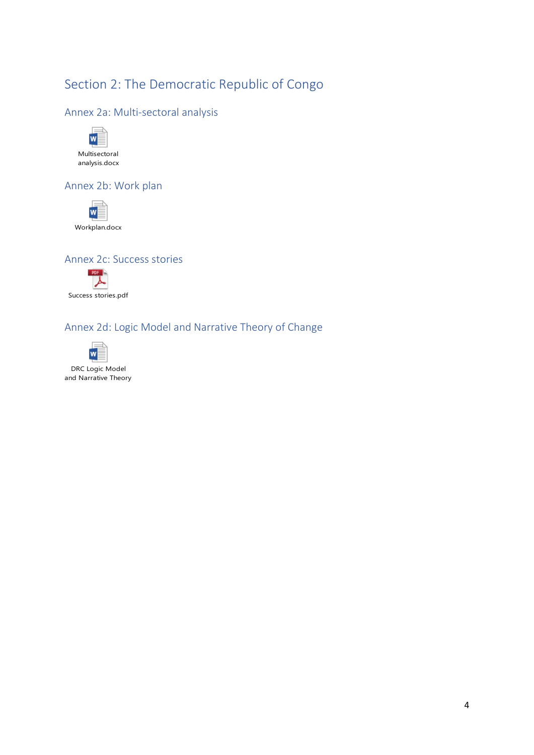# <span id="page-4-3"></span><span id="page-4-2"></span><span id="page-4-1"></span><span id="page-4-0"></span>Section 2: The Democratic Republic of Congo

#### <span id="page-4-4"></span>Annex 2a: Multi-sectoral analysis



#### Annex 2b: Work plan



#### Annex 2c: Success stories



#### Annex 2d: Logic Model and Narrative Theory of Change



DRC Logic Model and Narrative Theory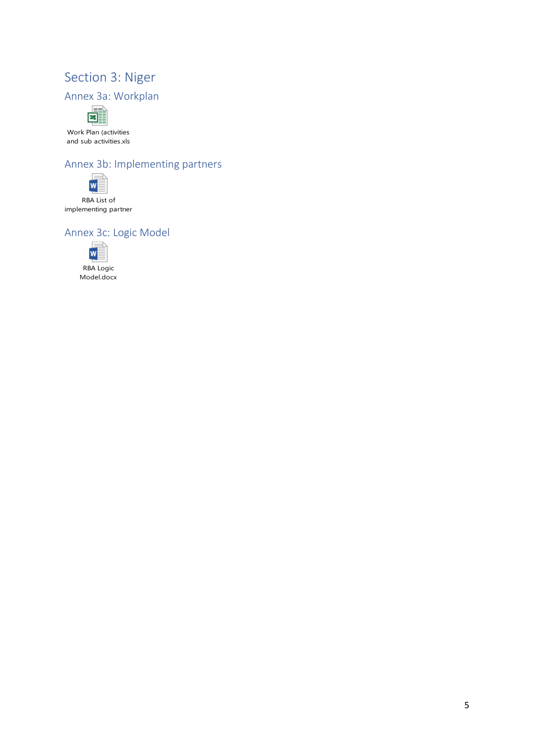# <span id="page-5-3"></span><span id="page-5-2"></span><span id="page-5-1"></span><span id="page-5-0"></span>Section 3: Niger





[Work Plan \(activities](https://www.dropbox.com/s/sp34as5txiu87ru/workplan_Niger.xls?dl=0)  and sub activities.xls

### Annex 3b: Implementing partners



implementing partner

### Annex 3c: Logic Model



RBA Logic [Model.docx](https://www.dropbox.com/s/yapiwiv3lm2b6u5/logic%20model_Niger.docx?dl=0)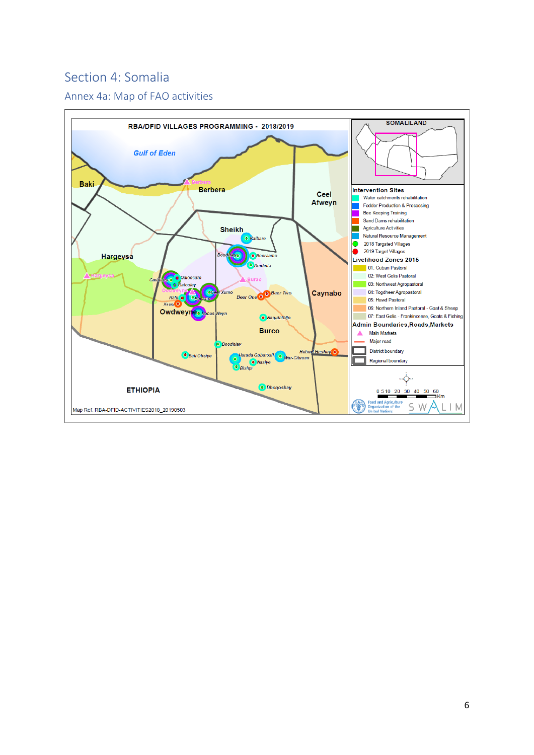## <span id="page-6-1"></span><span id="page-6-0"></span>Section 4: Somalia

### Annex 4a: Map of FAO activities